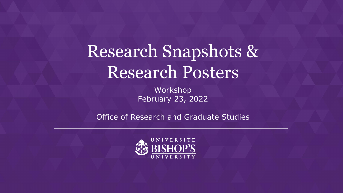# Research Snapshots & Research Posters

Workshop February 23, 2022

Office of Research and Graduate Studies

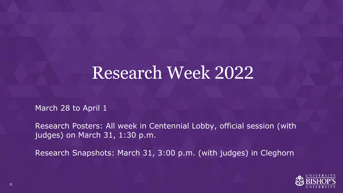### Research Week 2022

March 28 to April 1

Research Posters: All week in Centennial Lobby, official session (with judges) on March 31, 1:30 p.m.

Research Snapshots: March 31, 3:00 p.m. (with judges) in Cleghorn

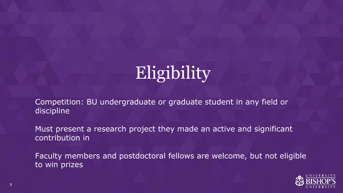# Eligibility

Competition: BU undergraduate or graduate student in any field or discipline

Must present a research project they made an active and significant contribution in

Faculty members and postdoctoral fellows are welcome, but not eligible to win prizes

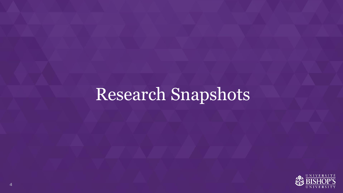## Research Snapshots

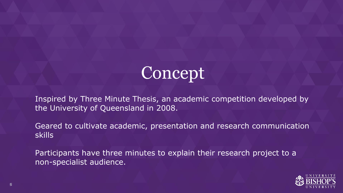# Concept

Inspired by Three Minute Thesis, an academic competition developed by the University of Queensland in 2008.

Geared to cultivate academic, presentation and research communication skills

Participants have three minutes to explain their research project to a non-specialist audience.

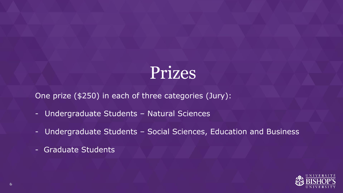## Prizes

One prize (\$250) in each of three categories (Jury):

- Undergraduate Students Natural Sciences
- Undergraduate Students Social Sciences, Education and Business
- Graduate Students

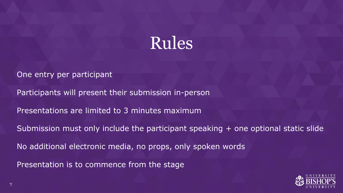

One entry per participant

Participants will present their submission in-person

Presentations are limited to 3 minutes maximum

Submission must only include the participant speaking + one optional static slide

No additional electronic media, no props, only spoken words

Presentation is to commence from the stage

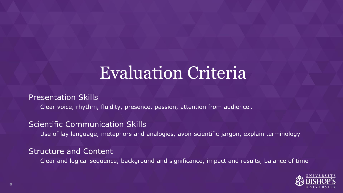### Evaluation Criteria

Presentation Skills

Clear voice, rhythm, fluidity, presence, passion, attention from audience…

Scientific Communication Skills

Use of lay language, metaphors and analogies, avoir scientific jargon, explain terminology

#### Structure and Content

Clear and logical sequence, background and significance, impact and results, balance of time

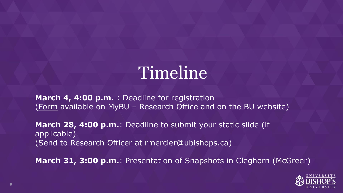# Timeline

March 4, 4:00 p.m. : Deadline for registration ([Form](https://forms.office.com/Pages/ResponsePage.aspx?id=FZxAYDfdQEaXW56qcHQ3t5DQenFqS1xOiVIzUUXD7n1UMEFBUlA2UTRIRFZLM0ZEWkFMUTVMSk5IWi4u) available on MyBU – Research Office and on the BU website)

**March 28, 4:00 p.m.**: Deadline to submit your static slide (if applicable) (Send to Research Officer at rmercier@ubishops.ca)

**March 31, 3:00 p.m.**: Presentation of Snapshots in Cleghorn (McGreer)

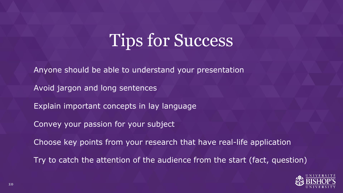## Tips for Success

Anyone should be able to understand your presentation

Avoid jargon and long sentences

Explain important concepts in lay language

Convey your passion for your subject

Choose key points from your research that have real-life application

Try to catch the attention of the audience from the start (fact, question)

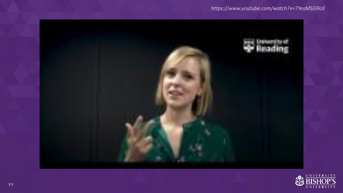#### *https://www.youtube.com/watch?v=7YesMSG9izE*



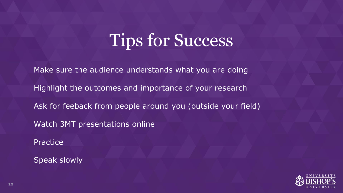# Tips for Success

Make sure the audience understands what you are doing Highlight the outcomes and importance of your research Ask for feeback from people around you (outside your field) Watch 3MT presentations online **Practice** 

Speak slowly

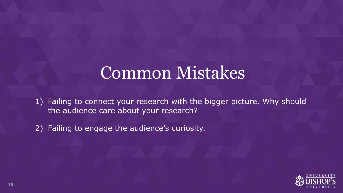### Common Mistakes

1) Failing to connect your research with the bigger picture. Why should the audience care about your research?

2) Failing to engage the audience's curiosity.

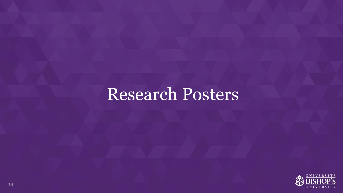## Research Posters

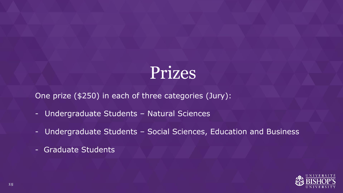## Prizes

One prize (\$250) in each of three categories (Jury):

- Undergraduate Students Natural Sciences
- Undergraduate Students Social Sciences, Education and Business
- Graduate Students

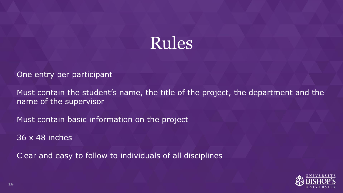

One entry per participant

Must contain the student's name, the title of the project, the department and the name of the supervisor

Must contain basic information on the project

36 x 48 inches

Clear and easy to follow to individuals of all disciplines

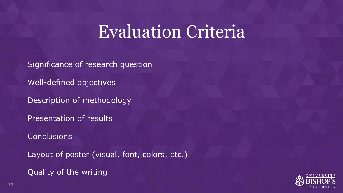### Evaluation Criteria

Significance of research question

Well-defined objectives

Description of methodology

Presentation of results

**Conclusions** 

Layout of poster (visual, font, colors, etc.)

Quality of the writing

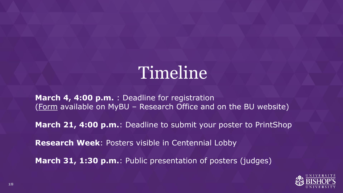# Timeline

**March 4, 4:00 p.m.** : Deadline for registration ([Form](https://forms.office.com/Pages/ResponsePage.aspx?id=FZxAYDfdQEaXW56qcHQ3t5DQenFqS1xOiVIzUUXD7n1UMEFBUlA2UTRIRFZLM0ZEWkFMUTVMSk5IWi4u) available on MyBU – Research Office and on the BU website)

**March 21, 4:00 p.m.**: Deadline to submit your poster to PrintShop

**Research Week**: Posters visible in Centennial Lobby

**March 31, 1:30 p.m.**: Public presentation of posters (judges)

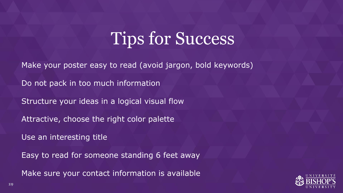## Tips for Success

Make your poster easy to read (avoid jargon, bold keywords)

Do not pack in too much information

Structure your ideas in a logical visual flow

Attractive, choose the right color palette

Use an interesting title

Easy to read for someone standing 6 feet away

Make sure your contact information is available

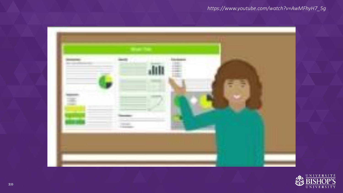#### *https://www.youtube.com/watch?v=AwMFhyH7\_5g*



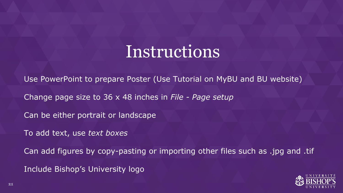#### Instructions

Use PowerPoint to prepare Poster (Use Tutorial on MyBU and BU website)

Change page size to 36 x 48 inches in *File - Page setup*

Can be either portrait or landscape

To add text, use *text boxes*

Can add figures by copy-pasting or importing other files such as .jpg and .tif

Include Bishop's University logo

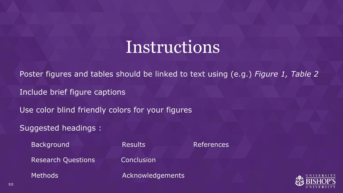### Instructions

Poster figures and tables should be linked to text using (e.g.) *Figure 1, Table 2*

Include brief figure captions

Use color blind friendly colors for your figures

Suggested headings :

Background Results References

Research Questions **Conclusion** 

Methods Methods Acknowledgements

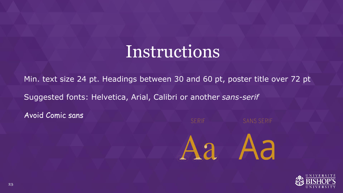#### Instructions

Min. text size 24 pt. Headings between 30 and 60 pt, poster title over 72 pt Suggested fonts: Helvetica, Arial, Calibri or another *sans-serif* 

Avoid Comic sans



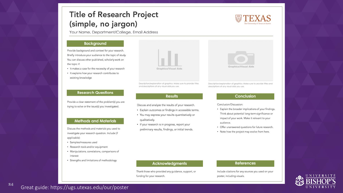#### **Title of Research Project** (simple, no jargon)

Your Name, Department/College, Email Address

#### **Background**

Provide background and context for your research. Briefly introduce your audience to the topic of study. You can discuss other published, scholarly work on the topic if:

- It makes a case for the necessity of your research
- · It explains how your research contributes to existing knowledge



Provide a clear statement of the problem(s) you are trying to solve or the issue(s) you investigated.

#### **Methods and Materials**

Discuss the methods and materials you used to investigate your research question. Include (if applicable):

- · Samples/measures used
- · Research tools and/or equipment
- · Manipulations, correlations, comparisons of interest
- · Strengths and limitations of methodology



Description/explanation of graphics: Make sure to provide titles and descriptions of any visual aids you use.

#### **Results**

Discuss and analyze the results of your research.

- · Explain outcomes or findings in accessible terms.
- · You may express your results quantitatively or qualitatively.
- · If your research is in progress, report your preliminary results, findings, or initial trends.



Description/explanation of graphics: Make sure to provide fiftes and descriptions of any visual aids you use.

#### **Conclusion**

Conclusion/Discussion:

- Explain the broader implications of your findings. Think about potential long-term significance or impact of your work. Make it relevant to your audience.
- Offer unanswered questions for future research.
- Note how the project may evolve from here.

#### **Acknowledgments**

Thank those who provided any guidance, support, or funding for your research.

#### **References**

Include citations for any sources you used on your poster, including visuals.



<sup>24</sup> Great guide: https://ugs.utexas.edu/our/poster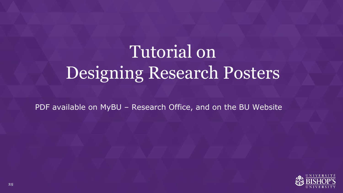# Tutorial on Designing Research Posters

PDF available on MyBU – Research Office, and on the BU Website

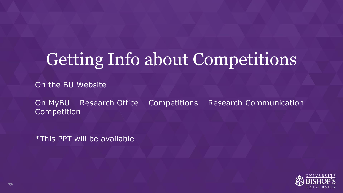# Getting Info about Competitions

On the [BU Website](https://www.ubishops.ca/research-excellence/research-week/)

On MyBU – Research Office – Competitions – Research Communication Competition

\*This PPT will be available